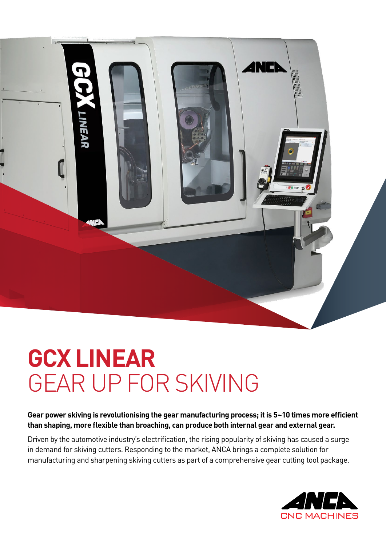

# **GCX LINEAR**  GEAR UP FOR SKIVING

**Gear power skiving is revolutionising the gear manufacturing process; it is 5~10 times more efficient than shaping, more flexible than broaching, can produce both internal gear and external gear.** 

Driven by the automotive industry's electrification, the rising popularity of skiving has caused a surge in demand for skiving cutters. Responding to the market, ANCA brings a complete solution for manufacturing and sharpening skiving cutters as part of a comprehensive gear cutting tool package.

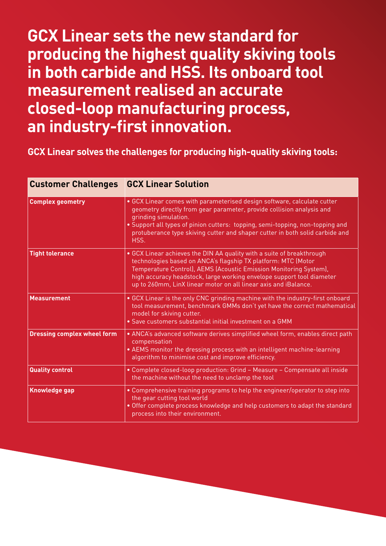# **GCX Linear sets the new standard for producing the highest quality skiving tools in both carbide and HSS. Its onboard tool measurement realised an accurate closed-loop manufacturing process, an industry-first innovation.**

### **GCX Linear solves the challenges for producing high-quality skiving tools:**

| <b>Customer Challenges</b>         | <b>GCX Linear Solution</b>                                                                                                                                                                                                                                                                                                                              |  |  |  |  |
|------------------------------------|---------------------------------------------------------------------------------------------------------------------------------------------------------------------------------------------------------------------------------------------------------------------------------------------------------------------------------------------------------|--|--|--|--|
| <b>Complex geometry</b>            | • GCX Linear comes with parameterised design software, calculate cutter<br>geometry directly from gear parameter, provide collision analysis and<br>grinding simulation.<br>. Support all types of pinion cutters: topping, semi-topping, non-topping and<br>protuberance type skiving cutter and shaper cutter in both solid carbide and<br>HSS.       |  |  |  |  |
| <b>Tight tolerance</b>             | • GCX Linear achieves the DIN AA quality with a suite of breakthrough<br>technologies based on ANCA's flagship TX platform: MTC (Motor<br>Temperature Control), AEMS (Acoustic Emission Monitoring System),<br>high accuracy headstock, large working envelope support tool diameter<br>up to 260mm, LinX linear motor on all linear axis and iBalance. |  |  |  |  |
| <b>Measurement</b>                 | • GCX Linear is the only CNC grinding machine with the industry-first onboard<br>tool measurement, benchmark GMMs don't yet have the correct mathematical<br>model for skiving cutter.<br>· Save customers substantial initial investment on a GMM                                                                                                      |  |  |  |  |
| <b>Dressing complex wheel form</b> | . ANCA's advanced software derives simplified wheel form, enables direct path<br>compensation<br>• AEMS monitor the dressing process with an intelligent machine-learning<br>algorithm to minimise cost and improve efficiency.                                                                                                                         |  |  |  |  |
| <b>Quality control</b>             | • Complete closed-loop production: Grind - Measure - Compensate all inside<br>the machine without the need to unclamp the tool                                                                                                                                                                                                                          |  |  |  |  |
| <b>Knowledge gap</b>               | • Comprehensive training programs to help the engineer/operator to step into<br>the gear cutting tool world<br>. Offer complete process knowledge and help customers to adapt the standard<br>process into their environment.                                                                                                                           |  |  |  |  |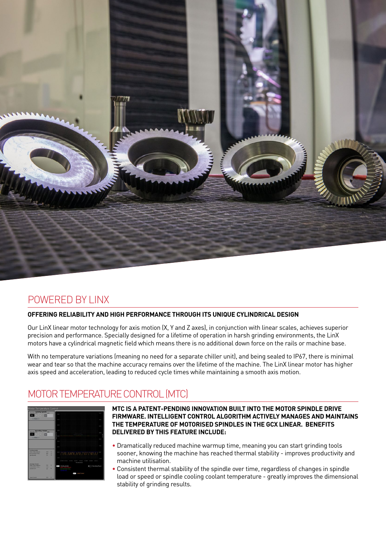

### POWERED BY LINX

#### **OFFERING RELIABILITY AND HIGH PERFORMANCE THROUGH ITS UNIQUE CYLINDRICAL DESIGN**

Our LinX linear motor technology for axis motion (X, Y and Z axes), in conjunction with linear scales, achieves superior precision and performance. Specially designed for a lifetime of operation in harsh grinding environments, the LinX motors have a cylindrical magnetic field which means there is no additional down force on the rails or machine base.

With no temperature variations (meaning no need for a separate chiller unit), and being sealed to IP67, there is minimal wear and tear so that the machine accuracy remains over the lifetime of the machine. The LinX linear motor has higher axis speed and acceleration, leading to reduced cycle times while maintaining a smooth axis motion.

### MOTOR TEMPERATURE CONTROL (MTC)



#### **MTC IS A PATENT-PENDING INNOVATION BUILT INTO THE MOTOR SPINDLE DRIVE FIRMWARE. INTELLIGENT CONTROL ALGORITHM ACTIVELY MANAGES AND MAINTAINS THE TEMPERATURE OF MOTORISED SPINDLES IN THE GCX LINEAR. BENEFITS DELIVERED BY THIS FEATURE INCLUDE:**

- Dramatically reduced machine warmup time, meaning you can start grinding tools sooner, knowing the machine has reached thermal stability - improves productivity and machine utilisation.
- Consistent thermal stability of the spindle over time, regardless of changes in spindle load or speed or spindle cooling coolant temperature - greatly improves the dimensional stability of grinding results.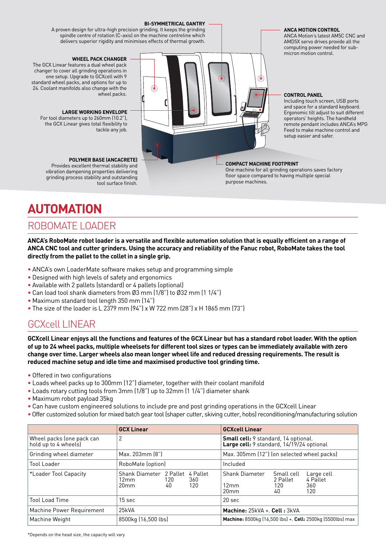#### **BI-SYMMETRICAL GANTRY**

A proven design for ultra-high precision grinding. It keeps the grinding spindle centre of rotation (C-axis) on the machine centreline which delivers superior rigidity and minimises effects of thermal growth.

#### **WHEEL PACK CHANGER**

The GCX Linear features a dual wheel pack changer to cover all grinding operations in one setup. Upgrade to GCXcell with 9 standard wheel packs, and options for up to 24. Coolant manifolds also change with the wheel packs.

#### **LARGE WORKING ENVELOPE**

For tool diameters up to 260mm (10.2"), the GCX Linear gives total flexibility to tackle any job.

#### **POLYMER BASE (ANCACRETE)**

Provides excellent thermal stability and vibration dampening properties delivering grinding process stability and outstanding tool surface finish.

#### **ANCA MOTION CONTROL**

ANCA Motion's latest AM5C CNC and AMD5X servo drives provide all the computing power needed for submicron motion control.

#### **CONTROL PANEL**

Including touch screen, USB ports and space for a standard keyboard. Ergonomic tilt adjust to suit different operators' heights. The handheld remote pendant includes ANCA's MPG Feed to make machine control and setup easier and safer.

#### **COMPACT MACHINE FOOTPRINT**

6

One machine for all grinding operations saves factory floor space compared to having multiple special purpose machines.

# **AUTOMATION**

#### ROBOMATE LOADER

**ANCA's RoboMate robot loader is a versatile and flexible automation solution that is equally efficient on a range of ANCA CNC tool and cutter grinders. Using the accuracy and reliability of the Fanuc robot, RoboMate takes the tool directly from the pallet to the collet in a single grip.** 

- ANCA's own LoaderMate software makes setup and programming simple
- Designed with high levels of safety and ergonomics
- Available with 2 pallets (standard) or 4 pallets (optional)
- Can load tool shank diameters from Ø3 mm (1/8") to Ø32 mm (1 1/4")
- Maximum standard tool length 350 mm (14")
- The size of the loader is L 2379 mm (94") x W 722 mm (28") x H 1865 mm (73")

### GCXcell LINEAR

**GCXcell Linear enjoys all the functions and features of the GCX Linear but has a standard robot loader. With the option of up to 24 wheel packs, multiple wheelsets for different tool sizes or types can be immediately available with zero change over time. Larger wheels also mean longer wheel life and reduced dressing requirements. The result is reduced machine setup and idle time and maximised productive tool grinding time.**

- Offered in two configurations
- Loads wheel packs up to 300mm (12") diameter, together with their coolant manifold
- Loads rotary cutting tools from 3mm (1/8") up to 32mm (1 1/4") diameter shank
- Maximum robot payload 35kg
- Can have custom engineered solutions to include pre and post grinding operations in the GCXcell Linear
- •Offer customized solution for mixed batch gear tool (shaper cutter, skiving cutter, hobs) reconditioning/manufacturing solution

|                                                   | <b>GCX Linear</b>                                   |           |                        | <b>GCXcell Linear</b>                                                                    |                                     |                                      |
|---------------------------------------------------|-----------------------------------------------------|-----------|------------------------|------------------------------------------------------------------------------------------|-------------------------------------|--------------------------------------|
| Wheel packs (one pack can<br>hold up to 4 wheels) | 2                                                   |           |                        | <b>Small cell:</b> 9 standard, 14 optional.<br>Large cell: 9 standard, 14/19/24 optional |                                     |                                      |
| Grinding wheel diameter                           | Max. 203mm [8"]                                     |           |                        | Max. 305mm (12") (on selected wheel packs)                                               |                                     |                                      |
| Tool Loader                                       | RoboMate (option)                                   |           |                        | Included                                                                                 |                                     |                                      |
| *Loader Tool Capacity                             | Shank Diameter 2 Pallet<br>12mm<br>20 <sub>mm</sub> | 120<br>40 | 4 Pallet<br>360<br>120 | Shank Diameter<br>12mm<br>20 <sub>mm</sub>                                               | Small cell<br>2 Pallet<br>120<br>40 | Large cell<br>4 Pallet<br>360<br>120 |
| <b>Tool Load Time</b>                             | 15 <sub>sec</sub>                                   |           |                        | $20 \text{ sec}$                                                                         |                                     |                                      |
| Machine Power Requirement                         | 25kVA                                               |           |                        | Machine: 25kVA +. Cell: 3kVA                                                             |                                     |                                      |
| Machine Weight                                    | 8500kg (16,500 lbs)                                 |           |                        | Machine: 8500kg (16,500 lbs) +. Cell: 2500kg (5500lbs) max                               |                                     |                                      |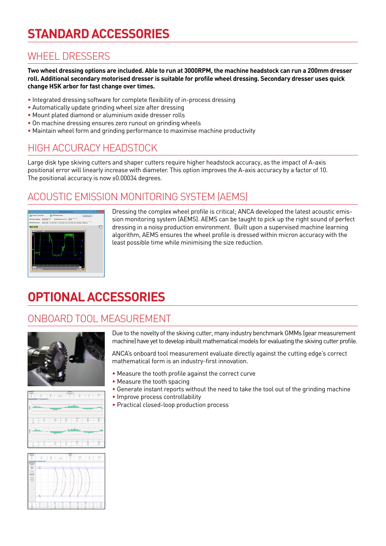# **STANDARD ACCESSORIES**

### WHEEL DRESSERS

**Two wheel dressing options are included. Able to run at 3000RPM, the machine headstock can run a 200mm dresser roll. Additional secondary motorised dresser is suitable for profile wheel dressing. Secondary dresser uses quick change HSK arbor for fast change over times.** 

- Integrated dressing software for complete flexibility of in-process dressing
- Automatically update grinding wheel size after dressing
- Mount plated diamond or aluminium oxide dresser rolls
- On machine dressing ensures zero runout on grinding wheels
- Maintain wheel form and grinding performance to maximise machine productivity

### HIGH ACCURACY HEADSTOCK

Large disk type skiving cutters and shaper cutters require higher headstock accuracy, as the impact of A-axis positional error will linearly increase with diameter. This option improves the A-axis accuracy by a factor of 10. The positional accuracy is now ±0.00034 degrees.

### ACOUSTIC EMISSION MONITORING SYSTEM (AEMS)



Dressing the complex wheel profile is critical; ANCA developed the latest acoustic emission monitoring system (AEMS). AEMS can be taught to pick up the right sound of perfect dressing in a noisy production environment. Built upon a supervised machine learning algorithm, AEMS ensures the wheel profile is dressed within micron accuracy with the least possible time while minimising the size reduction.

# **OPTIONAL ACCESSORIES**

### ONBOARD TOOL MEASUREMENT



Due to the novelty of the skiving cutter, many industry benchmark GMMs (gear measurement machine) have yet to develop inbuilt mathematical models for evaluating the skiving cutter profile.

ANCA's onboard tool measurement evaluate directly against the cutting edge's correct mathematical form is an industry-first innovation.

- Measure the tooth profile against the correct curve
- Measure the tooth spacing
- Generate instant reports without the need to take the tool out of the grinding machine
- Improve process controllability
- Practical closed-loop production process



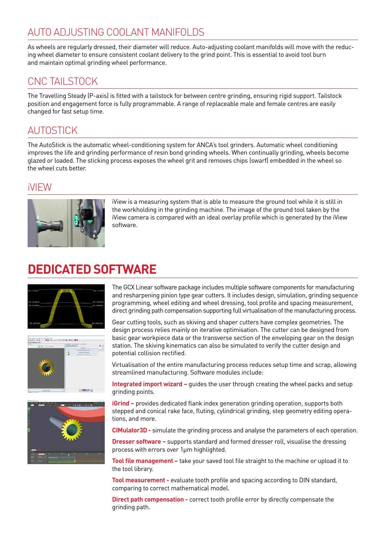### AUTO ADJUSTING COOLANT MANIFOLDS

As wheels are regularly dressed, their diameter will reduce. Auto-adjusting coolant manifolds will move with the reducing wheel diameter to ensure consistent coolant delivery to the grind point. This is essential to avoid tool burn and maintain optimal grinding wheel performance.

### CNC TAILSTOCK

The Travelling Steady (P-axis) is fitted with a tailstock for between centre grinding, ensuring rigid support. Tailstock position and engagement force is fully programmable. A range of replaceable male and female centres are easily changed for fast setup time.

### AUTOSTICK

The AutoStick is the automatic wheel-conditioning system for ANCA's tool grinders. Automatic wheel conditioning improves the life and grinding performance of resin bond grinding wheels. When continually grinding, wheels become glazed or loaded. The sticking process exposes the wheel grit and removes chips (swarf) embedded in the wheel so the wheel cuts better.

### iVIEW



iView is a measuring system that is able to measure the ground tool while it is still in the workholding in the grinding machine. The image of the ground tool taken by the iView camera is compared with an ideal overlay profile which is generated by the iView software.

# **DEDICATED SOFTWARE**







The GCX Linear software package includes multiple software components for manufacturing and resharpening pinion type gear cutters. It includes design, simulation, grinding sequence programming, wheel editing and wheel dressing, tool profile and spacing measurement, direct grinding path compensation supporting full virtualisation of the manufacturing process.

Gear cutting tools, such as skiving and shaper cutters have complex geometries. The design process relies mainly on iterative optimisation. The cutter can be designed from basic gear workpiece data or the transverse section of the enveloping gear on the design station. The skiving kinematics can also be simulated to verify the cutter design and potential collision rectified.

Virtualisation of the entire manufacturing process reduces setup time and scrap, allowing streamlined manufacturing. Software modules include:

**Integrated import wizard –** guides the user through creating the wheel packs and setup grinding points.

**iGrind –** provides dedicated flank index generation grinding operation, supports both stepped and conical rake face, fluting, cylindrical grinding, step geometry editing operations, and more.

**CIMulator3D -** simulate the grinding process and analyse the parameters of each operation.

**Dresser software –** supports standard and formed dresser roll, visualise the dressing process with errors over 1μm highlighted.

**Tool file management –** take your saved tool file straight to the machine or upload it to the tool library.

**Tool measurement -** evaluate tooth profile and spacing according to DIN standard, comparing to correct mathematical model.

**Direct path compensation -** correct tooth profile error by directly compensate the grinding path.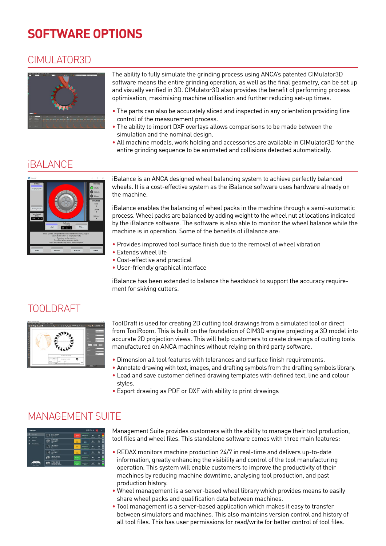# **SOFTWARE OPTIONS**

### CIMULATOR3D



The ability to fully simulate the grinding process using ANCA's patented CIMulator3D software means the entire grinding operation, as well as the final geometry, can be set up and visually verified in 3D. CIMulator3D also provides the benefit of performing process optimisation, maximising machine utilisation and further reducing set-up times.

- The parts can also be accurately sliced and inspected in any orientation providing fine control of the measurement process.
- The ability to import DXF overlays allows comparisons to be made between the simulation and the nominal design.
- All machine models, work holding and accessories are available in CIMulator3D for the entire grinding sequence to be animated and collisions detected automatically.

### *iBALANCE*



iBalance is an ANCA designed wheel balancing system to achieve perfectly balanced wheels. It is a cost-effective system as the iBalance software uses hardware already on the machine.

iBalance enables the balancing of wheel packs in the machine through a semi-automatic process. Wheel packs are balanced by adding weight to the wheel nut at locations indicated by the iBalance software. The software is also able to monitor the wheel balance while the machine is in operation. Some of the benefits of iBalance are:

- Provides improved tool surface finish due to the removal of wheel vibration
- Extends wheel life
- Cost-effective and practical
- User-friendly graphical interface

iBalance has been extended to balance the headstock to support the accuracy requirement for skiving cutters.

### TOOLDRAFT



ToolDraft is used for creating 2D cutting tool drawings from a simulated tool or direct from ToolRoom. This is built on the foundation of CIM3D engine projecting a 3D model into accurate 2D projection views. This will help customers to create drawings of cutting tools manufactured on ANCA machines without relying on third party software.

- Dimension all tool features with tolerances and surface finish requirements.
- Annotate drawing with text, images, and drafting symbols from the drafting symbols library. • Load and save customer defined drawing templates with defined text, line and colour
- styles. • Export drawing as PDF or DXF with ability to print drawings

### MANAGEMENT SUITE



Management Suite provides customers with the ability to manage their tool production, tool files and wheel files. This standalone software comes with three main features:

- REDAX monitors machine production 24/7 in real-time and delivers up-to-date information, greatly enhancing the visibility and control of the tool manufacturing operation. This system will enable customers to improve the productivity of their machines by reducing machine downtime, analysing tool production, and past production history.
- Wheel management is a server-based wheel library which provides means to easily share wheel packs and qualification data between machines.
- Tool management is a server-based application which makes it easy to transfer between simulators and machines. This also maintains version control and history of all tool files. This has user permissions for read/write for better control of tool files.